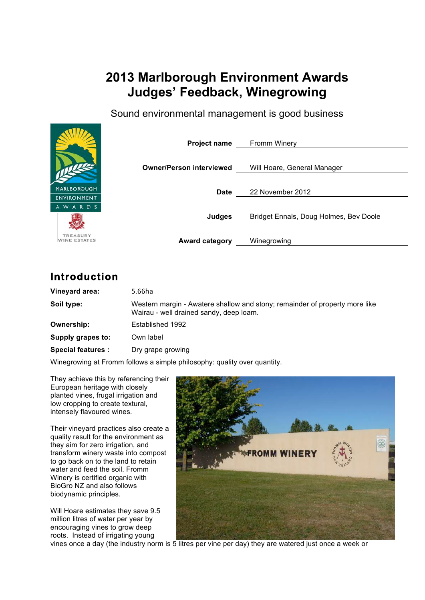# **2013 Marlborough Environment Awards Judges' Feedback, Winegrowing**

Sound environmental management is good business



TREASURY WINE ESTATES **Project name** Fromm Winery

**Owner/Person interviewed** Will Hoare, General Manager

**Date** 22 November 2012

**Judges** Bridget Ennals, Doug Holmes, Bev Doole

**Award category** Winegrowing

## **Introduction**

| Vineyard area:           | 5.66ha                                                                                                                 |
|--------------------------|------------------------------------------------------------------------------------------------------------------------|
| Soil type:               | Western margin - Awatere shallow and stony; remainder of property more like<br>Wairau - well drained sandy, deep loam. |
| Ownership:               | Established 1992                                                                                                       |
| Supply grapes to:        | Own label                                                                                                              |
| <b>Special features:</b> | Dry grape growing                                                                                                      |

Winegrowing at Fromm follows a simple philosophy: quality over quantity.

They achieve this by referencing their European heritage with closely planted vines, frugal irrigation and low cropping to create textural, intensely flavoured wines.

Their vineyard practices also create a quality result for the environment as they aim for zero irrigation, and transform winery waste into compost to go back on to the land to retain water and feed the soil. Fromm Winery is certified organic with BioGro NZ and also follows biodynamic principles.

Will Hoare estimates they save 9.5 million litres of water per year by encouraging vines to grow deep roots. Instead of irrigating young



vines once a day (the industry norm is 5 litres per vine per day) they are watered just once a week or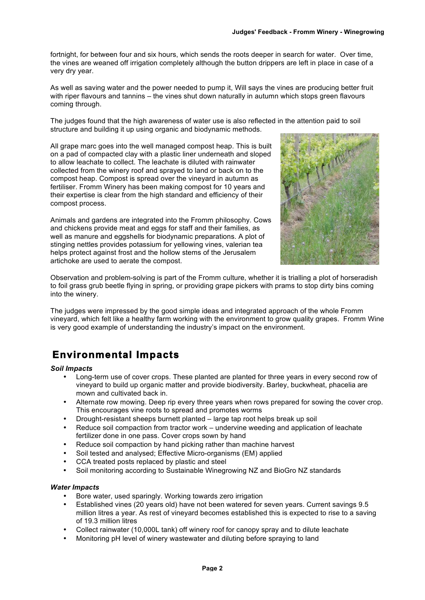fortnight, for between four and six hours, which sends the roots deeper in search for water. Over time, the vines are weaned off irrigation completely although the button drippers are left in place in case of a very dry year.

As well as saving water and the power needed to pump it, Will says the vines are producing better fruit with riper flavours and tannins – the vines shut down naturally in autumn which stops green flavours coming through.

The judges found that the high awareness of water use is also reflected in the attention paid to soil structure and building it up using organic and biodynamic methods.

All grape marc goes into the well managed compost heap. This is built on a pad of compacted clay with a plastic liner underneath and sloped to allow leachate to collect. The leachate is diluted with rainwater collected from the winery roof and sprayed to land or back on to the compost heap. Compost is spread over the vineyard in autumn as fertiliser. Fromm Winery has been making compost for 10 years and their expertise is clear from the high standard and efficiency of their compost process.

Animals and gardens are integrated into the Fromm philosophy. Cows and chickens provide meat and eggs for staff and their families, as well as manure and eggshells for biodynamic preparations. A plot of stinging nettles provides potassium for yellowing vines, valerian tea helps protect against frost and the hollow stems of the Jerusalem artichoke are used to aerate the compost.



Observation and problem-solving is part of the Fromm culture, whether it is trialling a plot of horseradish to foil grass grub beetle flying in spring, or providing grape pickers with prams to stop dirty bins coming into the winery.

The judges were impressed by the good simple ideas and integrated approach of the whole Fromm vineyard, which felt like a healthy farm working with the environment to grow quality grapes. Fromm Wine is very good example of understanding the industry's impact on the environment.

# **Environmental Impacts**

*Soil Impacts*

- Long-term use of cover crops. These planted are planted for three years in every second row of vineyard to build up organic matter and provide biodiversity. Barley, buckwheat, phacelia are mown and cultivated back in.
- Alternate row mowing. Deep rip every three years when rows prepared for sowing the cover crop. This encourages vine roots to spread and promotes worms
- Drought-resistant sheeps burnett planted large tap root helps break up soil
- Reduce soil compaction from tractor work undervine weeding and application of leachate fertilizer done in one pass. Cover crops sown by hand
- Reduce soil compaction by hand picking rather than machine harvest
- Soil tested and analysed; Effective Micro-organisms (EM) applied
- CCA treated posts replaced by plastic and steel
- Soil monitoring according to Sustainable Winegrowing NZ and BioGro NZ standards

#### *Water Impacts*

- Bore water, used sparingly. Working towards zero irrigation
- Established vines (20 years old) have not been watered for seven years. Current savings 9.5 million litres a year. As rest of vineyard becomes established this is expected to rise to a saving of 19.3 million litres
- Collect rainwater (10,000L tank) off winery roof for canopy spray and to dilute leachate
- Monitoring pH level of winery wastewater and diluting before spraying to land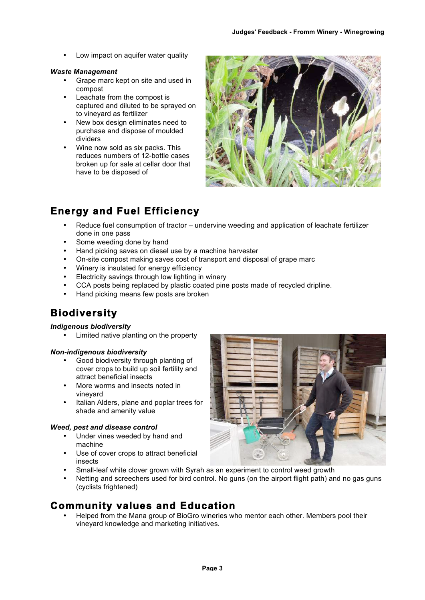Low impact on aquifer water quality

#### *Waste Management*

- Grape marc kept on site and used in compost
- Leachate from the compost is captured and diluted to be sprayed on to vineyard as fertilizer
- New box design eliminates need to purchase and dispose of moulded dividers
- Wine now sold as six packs. This reduces numbers of 12-bottle cases broken up for sale at cellar door that have to be disposed of



# **Energy and Fuel Efficiency**

- Reduce fuel consumption of tractor undervine weeding and application of leachate fertilizer done in one pass
- Some weeding done by hand
- Hand picking saves on diesel use by a machine harvester
- On-site compost making saves cost of transport and disposal of grape marc
- Winery is insulated for energy efficiency
- Electricity savings through low lighting in winery
- CCA posts being replaced by plastic coated pine posts made of recycled dripline.
- Hand picking means few posts are broken

# **Biodiversity**

#### *Indigenous biodiversity*

• Limited native planting on the property

#### *Non-indigenous biodiversity*

- Good biodiversity through planting of cover crops to build up soil fertility and attract beneficial insects
- More worms and insects noted in vineyard
- Italian Alders, plane and poplar trees for shade and amenity value

#### *Weed, pest and disease control*

- Under vines weeded by hand and machine
- Use of cover crops to attract beneficial insects



- Small-leaf white clover grown with Syrah as an experiment to control weed growth
- Netting and screechers used for bird control. No guns (on the airport flight path) and no gas guns (cyclists frightened)

### **Community values and Education**

• Helped from the Mana group of BioGro wineries who mentor each other. Members pool their vineyard knowledge and marketing initiatives.